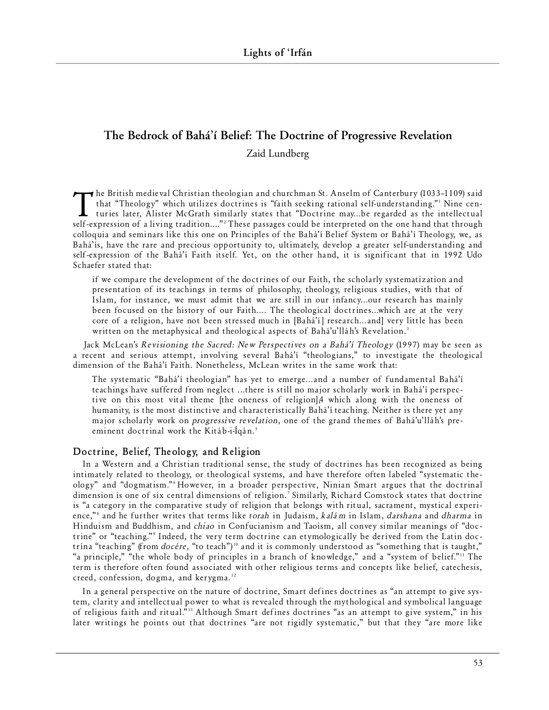# **The Bedrock of Bahá'í Belief: The Doctrine of Progressive Revelation** Zaid Lundberg

The British medieval Christian theologian and churchman St. Anselm of Canterbury (1033-1109) said<br>that "Theology" which utilizes doctrines is "faith seeking rational self-understanding." Nine cen-<br>turies later, Alister McG  $\rightarrow$  he British medie val Christian theologian and churchman St. Anselm of Canterbury (1033–1109) said that "Theology" which utilizes doctrines is "faith seeking rational self-understanding."<sup>1</sup> Nine centuries later, Alister McGrath similarly states that "Doctrine may...be regarded as the intellectual colloquia and seminars like this one on Principles of the Bahá'í Belief System or Bahá'í Theology, we, as Bahá'ís, have the rare and precious opportunity to, ultimately, develop a greater self-understanding and self-expression of the Bahá'í Faith itself. Yet, on the other hand, it is significant that in 1992 Udo Schaefer stated that:

if we compare the development of the doctrines of our Faith, the scholarly systematization and presentation of its teachings in terms of philosophy, theology, religious studies, with that of Islam, for instance, we must admit that we are still in our infancy...our research has mainly been focused on the history of our Faith.... The theological doctrines...which are at the very core of a religion, have not been stressed much in [Bahá'í] research...and] very little has been written on the metaphysical and theological aspects of Bahá'u'lláh's Revelation.<sup>3</sup>

Jack McLean's *Revisioning the Sacred: New Perspectives on a Bahá'í Theology* (1997) may be seen as a recent and serious attempt, involving several Bahá'í "theologians," to investigate the theological dimension of the Bahá'í Faith. Nonetheless, McLean writes in the same work that:

The systematic "Bahá'í theologian" has yet to emerge...and a number of fundamental Bahá'í teachings have suffered from neglect ...there is still no major scholarly work in Bahá'í perspective on this most vital theme [the oneness of religion],4 which along with the oneness of humanity, is the most distinctive and characteristically Bahá'í teaching. Neither is there yet any major scholarly work on *progressive revelation*, one of the grand themes of Bahá'u'lláh's preeminent doctrinal work the Kitáb-i-Íqán.<sup>5</sup>

## **Doctrine, Belief, Theology, and Religion**

In a Western and a Christian traditional sense, the study of doctrines has been recognized as being intimately related to theology, or theological systems, and have therefore often labeled "systematic theology" and "dogmatism." However, in a broader perspective, Ninian Smart argues that the doctrinal dimension is one of six central dimensions of religion.<sup>7</sup> Similarly, Richard Comstock states that doctrine is "a category in the comparative study of religion that belongs with ritual, sacrament, mystical experience,"<sup>8</sup> and he further writes that terms like *torah* in Judaism, *kalám* in Islam, *darshana* and *dharma* in Hinduism and Buddhism, and *chiao* in Confucianism and Taoism, all convey similar meanings of "doctrine" or "teaching."' Indeed, the very term doctrine can etymologically be derived from the Latin doctrína "teaching" (from *docére*, "to teach")<sup>10</sup> and it is commonly understood as "something that is taught," "a principle," "the whole body of principles in a branch of knowledge," and a "system of belief."<sup>11</sup> The term is therefore often found associated with other religious terms and concepts like belief, catechesis, creed, confession, dogma, and kerygma. $12$ 

In a general perspective on the nature of doctrine, Smart defines doctrines as "an attempt to give system, clarity and intellectual power to what is revealed through the mythological and symbolical language of religious faith and ritual."<sup>13</sup> Although Smart defines doctrines "as an attempt to give system," in his later writings he points out that doctrines "are not rigidly systematic," but that they "are more like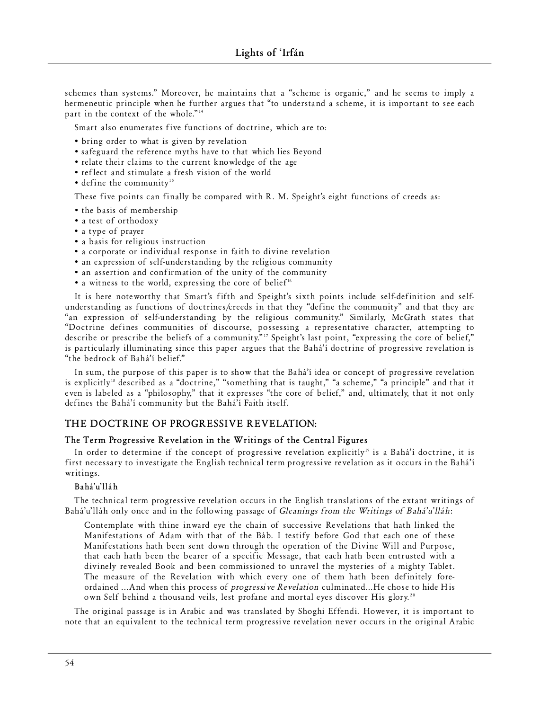schemes than systems." Moreover, he maintains that a "scheme is organic," and he seems to imply a hermeneutic principle when he further argues that "to understand a scheme, it is important to see each part in the context of the whole."<sup>14</sup>

Smart also enumerates five functions of doctrine, which are to:

- bring order to what is given by revelation
- safeguard the reference myths have to that which lies Beyond
- relate their claims to the current knowledge of the age
- reflect and stimulate a fresh vision of the world
- $\bullet$  define the community<sup>15</sup>

These five points can finally be compared with R. M. Speight's eight functions of creeds as:

- the basis of membership
- a test of orthodoxy
- a type of prayer
- a basis for religious instruction
- a corporate or individual response in faith to divine revelation
- an expression of self-understanding by the religious community
- an assertion and confirmation of the unity of the community
- a witness to the world, expressing the core of belief<sup>16</sup>

It is here note worthy that Smart's fifth and Speight's sixth points include self-definition and selfunderstanding as functions of doctrines/creeds in that they "define the community" and that they are "an expression of self-understanding by the religious community." Similarly, McGrath states that "Doctrine defines communities of discourse, possessing a representative character, attempting to describe or prescribe the beliefs of a community."<sup>17</sup> Speight's last point, "expressing the core of belief," is particularly illuminating since this paper argues that the Bahá'í doctrine of progressive revelation is "the bedrock of Bahá'í belief."

In sum, the purpose of this paper is to show that the Bahá'í idea or concept of progressive revelation is explicitly<sup>18</sup> described as a "doctrine," "something that is taught," "a scheme," "a principle" and that it even is labeled as a "philosophy," that it expresses "the core of belief," and, ultimately, that it not only defines the Bahá'í community but the Bahá'í Faith itself.

## **THE DOCTRINE OF PROGRESSIVE REVELATION:**

## **The Term Progressive Revelation in the Writings of the Central Figures**

In order to determine if the concept of progressive revelation explicitly<sup>19</sup> is a Bahá'í doctrine, it is first necessary to investigate the English technical term progressive revelation as it occurs in the Bahá'í writings.

#### **B ahá'u' lláh**

The technical term progressive revelation occurs in the English translations of the extant writings of Bahá'u'lláh only once and in the following passage of *Gleanings from the Writings of Bahá'u'lláh*:

Contemplate with thine inward eye the chain of successive Revelations that hath linked the Manifestations of Adam with that of the Báb. I testify before God that each one of these Manifestations hath been sent down through the operation of the Divine Will and Purpose, that each hath been the bearer of a specific Message, that each hath been entrusted with a divinely revealed Book and been commissioned to unravel the mysteries of a mighty Tablet. The measure of the Revelation with which every one of them hath been definitely foreordained ...And when this process of *progressive Revelation* culminated...He chose to hide His own Self behind a thousand veils, lest profane and mortal eyes discover His glory.<sup>20</sup>

The original passage is in Arabic and was translated by Shoghi Effendi. However, it is important to note that an equivalent to the technical term progressive revelation never occurs in the original Arabic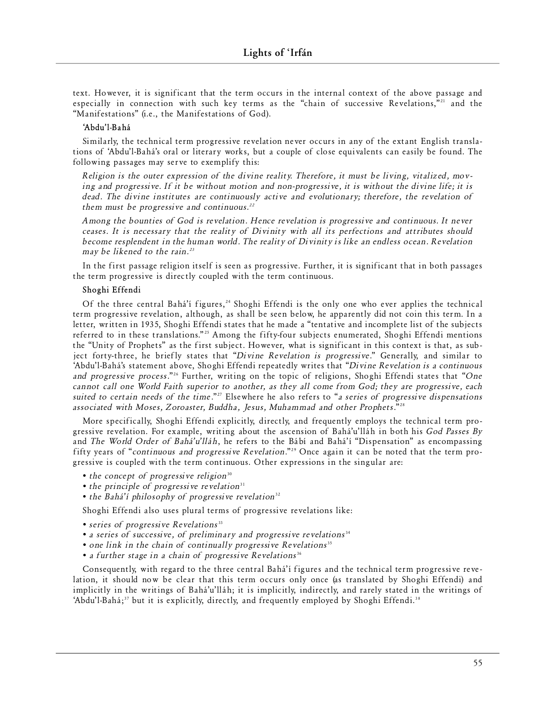text. However, it is significant that the term occurs in the internal context of the above passage and especially in connection with such key terms as the "chain of successive Revelations,"<sup>21</sup> and the "Manifestations" (i.e., the Manifestations of God).

#### **'Abdu' l-B ahá**

Similarly, the technical term progressive revelation never occurs in any of the extant English translations of 'Abdu'l-Bahá's oral or literary works, but a couple of close equivalents can easily be found. The following passages may serve to exemplify this:

*Religion is the outer expression of the divine reality. Therefore, it must be living, vitalized, moving and progressive. If it be without motion and non-progressive, it is without the divine life; it is* dead. The divine institutes are continuously active and evolutionary; therefore, the revelation of them must be progressive and continuous.<sup>22</sup>

*Among the bounties of God is revelation. Hence revelation is progressive and continuous. It never ceases. It is necessary that the reality of Divinity with all its perfections and attributes should become re s pl e ndent in the hum an world. The reality of Div inity is like an endless ocean. Re ve l ati on may be likened to the rain.<sup>23</sup>* 

In the first passage religion itself is seen as progressive. Further, it is significant that in both passages the term progressive is directly coupled with the term continuous.

## Shoghi Effendi

Of the three central Bahá'í figures,<sup>24</sup> Shoghi Effendi is the only one who ever applies the technical term progressive revelation, although, as shall be seen below, he apparently did not coin this term. In a letter, written in 1935, Shoghi Effendi states that he made a "tentative and incomplete list of the subjects referred to in these translations."<sup>25</sup> Among the fifty-four subjects enumerated, Shoghi Effendi mentions the "Unity of Prophets" as the first subject. However, what is significant in this context is that, as subject forty-three, he briefly states that "*Divine Revelation is progressive.*" Generally, and similar to 'Abdu'l-Bahá's statement above, Shoghi Effendi repeatedly writes that "Divine Revelation is a continuous and progressive process."<sup>26</sup> Further, writing on the topic of religions, Shoghi Effendi states that "One *cannot call one World Faith superior to another, as they all come from God; they are progressive, each* suited to certain needs of the time."<sup>27</sup> Elsewhere he also refers to "*a series of progressive dispensations* associated with Moses, Zoroaster, Buddha, Jesus, Muhammad and other Prophets."<sup>28</sup>

More specifically, Shoghi Effendi explicitly, directly, and frequently employs the technical term progressive revelation. For example, writing about the ascension of Bahá'u'lláh in both his *God Passes By* and *The World Order of Bahá'u'lláh*, he refers to the Bábí and Bahá'í "Dispensation" as encompassing fifty years of "*continuous and progressive Revelation*."<sup>29</sup> Once again it can be noted that the term progressive is coupled with the term continuous. Other expressions in the singular are:

- the concept of progressive religion<sup>30</sup>
- the principle of progressive revelation<sup>31</sup>
- the Bahá'í philosophy of progressive revelation<sup>32</sup>

Shoghi Effendi also uses plural terms of progressive revelations like:

- series of progressive Revelations<sup>33</sup>
- *a series of successive, of preliminary and progressive revelations*<sup>34</sup>
- one link in the chain of continually progressive Revelations<sup>35</sup>
- *a further stage in a chain of progressive Revelations*<sup>36</sup>

Consequently, with regard to the three central Bahá'í figures and the technical term progressive revelation, it should now be clear that this term occurs only once (as translated by Shoghi Effendi) and implicitly in the writings of Bahá'u'lláh; it is implicitly, indirectly, and rarely stated in the writings of 'Abdu'l-Bahá; $37$  but it is explicitly, directly, and frequently employed by Shoghi Effendi. $38$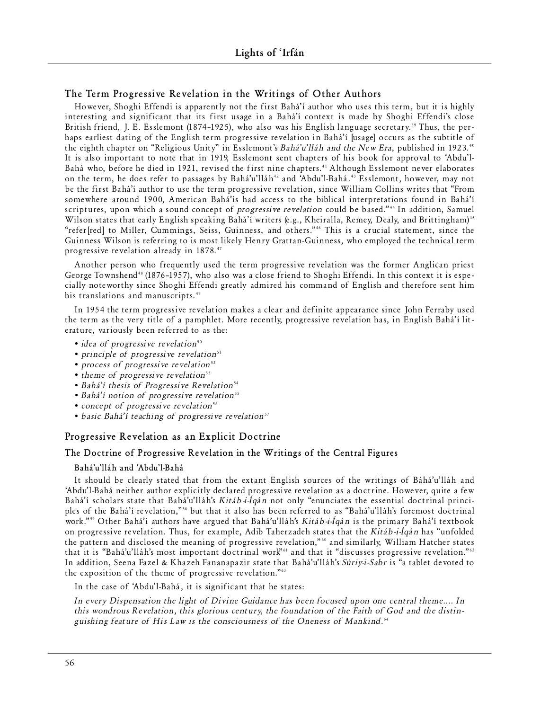## The Term Progressive Revelation in the Writings of Other Authors

However, Shoghi Effendi is apparently not the first Bahá'í author who uses this term, but it is highly interesting and significant that its first usage in a Bahá'í context is made by Shoghi Effendi's close British friend, J. E. Esslemont (1874–1925), who also was his English language secretary.<sup>39</sup> Thus, the perhaps earliest dating of the English term progressive revelation in Bahá'í [usage] occurs as the subtitle of the eighth chapter on "Religious Unity" in Esslemont's *Bahá'u'lláh and the New Era*, published in 1923.<sup>40</sup> It is also important to note that in 1919, Esslemont sent chapters of his book for approval to 'Abdu'l-Bahá who, before he died in 1921, revised the first nine chapters.<sup>41</sup> Although Esslemont never elaborates on the term, he does refer to passages by Bahá'u'lláh<sup>42</sup> and 'Abdu'l-Bahá.<sup>43</sup> Esslemont, however, may not be the first Bahá'í author to use the term progressive revelation, since William Collins writes that "From some where around 1900, American Bahá'ís had access to the biblical interpretations found in Bahá'í scriptures, upon which a sound concept of *progressive revelation* could be based."<sup>44</sup> In addition, Samuel Wilson states that early English speaking Bahá'í writers (e.g., Kheiralla, Remey, Dealy, and Brittingham)<sup>45</sup> "refer [red] to Miller, Cummings, Seiss, Guinness, and others."<sup>46</sup> This is a crucial statement, since the Guinness Wilson is referring to is most likely Henry Grattan-Guinness, who employed the technical term progressive revelation already in 1878.<sup>47</sup>

Another person who frequently used the term progressive revelation was the former Anglican priest George Townshend<sup>48</sup> (1876-1957), who also was a close friend to Shoghi Effendi. In this context it is especially note worthy since Shoghi Effendi greatly admired his command of English and therefore sent him his translations and manuscripts.<sup>49</sup>

In 1954 the term progressive revelation makes a clear and definite appearance since John Ferraby used the term as the very title of a pamphlet. More recently, progressive revelation has, in English Bahá'í literature, variously been referred to as the:

- *idea of progressive revelation*<sup>50</sup>
- *principle of progressive revelation*<sup>51</sup>
- *process of progressive revelation*<sup>52</sup>
- *theme of progressive revelation*<sup>53</sup>
- Bahá'í thesis of Progressive Revelation<sup>54</sup>
- Bahá'í notion of progressive revelation<sup>55</sup>
- *concept of progressive revelation*<sup>56</sup>
- basic Bahá'í teaching of progressive revelation<sup>57</sup>

# **Progressive Revelation as an Explicit Doctrine**

## **The Doctrine of Progressive Revelation in the Writings of the Central Figures**

#### **Bahá'u'lláh and 'Abdu'l-Bahá**

It should be clearly stated that from the extant English sources of the writings of Báhá'u'lláh and 'Abdu'l-Bahá neither author explicitly declared progressive revelation as a doctrine. However, quite a few Bahá'í scholars state that Bahá'u'lláh's *Kitáb-i-Íqán* not only "enunciates the essential doctrinal principles of the Bahá'í revelation,"<sup>58</sup> but that it also has been referred to as "Bahá'u'lláh's foremost doctrinal work."<sup>59</sup> Other Bahá'í authors have argued that Bahá'u'lláh's *Kitáb-i-Íqán* is the primary Bahá'í textbook on progressive revelation. Thus, for example, Adib Taherzadeh states that the *Kitáb-i-Íqán* has "unfolded the pattern and disclosed the meaning of progressive revelation,"<sup>60</sup> and similarly, William Hatcher states that it is "Bahá'u'lláh's most important doctrinal work"61 and that it "discusses progressive revelation."62 In addition, Seena Fazel & Khazeh Fananapazir state that Bahá'u'lláh's Súriy-i-Sabr is "a tablet devoted to the exposition of the theme of progressive revelation."<sup>63</sup>

In the case of 'Abdu'l-Bahá, it is significant that he states:

In every Dispensation the light of Divine Guidance has been focused upon one central theme.... In this wondrous Revelation, this glorious century, the foundation of the Faith of God and the distinguishing feature of His Law is the consciousness of the Oneness of Mankind.<sup>64</sup>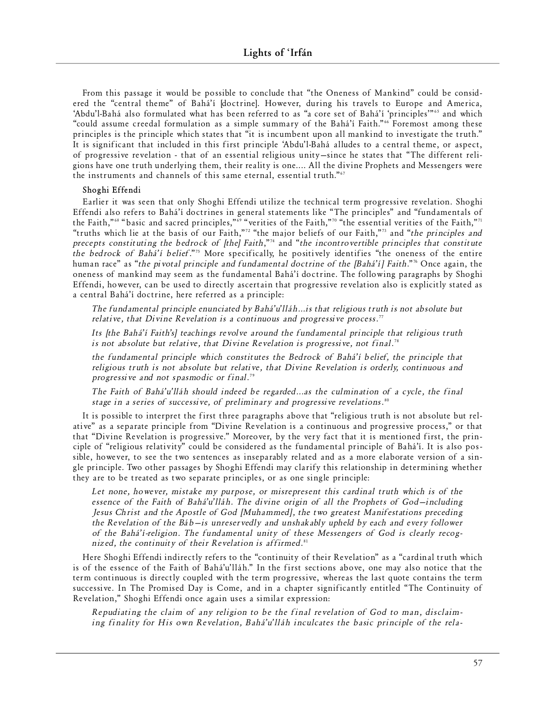From this passage it would be possible to conclude that "the Oneness of Mankind" could be considered the "central theme" of Bahá'í [doctrine]. However, during his travels to Europe and America, 'Abdu'l-Bahá also formulated what has been referred to as "a core set of Bahá'í 'principles'"<sup>65</sup> and which "could assume creedal formulation as a simple summary of the Bahá'í Faith."66 Foremost among these principles is the principle which states that "it is incumbent upon all mankind to investigate the truth." It is significant that included in this first principle 'Abdu'l-Bahá alludes to a central theme, or aspect, of progressive revelation - that of an essential religious unity–since he states that "The different religions have one truth underlying them, their reality is one.... All the divine Prophets and Messengers were the instruments and channels of this same eternal, essential truth."67

## Shoghi Effendi

Earlier it was seen that only Shoghi Effendi utilize the technical term progressive revelation. Shoghi Effendi also refers to Bahá'í doctrines in general statements like "The principles" and "fundamentals of the Faith,"<sup>68</sup> "basic and sacred principles,"<sup>69</sup> "verities of the Faith,"<sup>70</sup> "the essential verities of the Faith,"<sup>71</sup> "truths which lie at the basis of our Faith,"<sup>72</sup> "the major beliefs of our Faith,"<sup>73</sup> and "the principles and *precepts constituting the bedrock of [the] Faith*,"<sup>4</sup> and "*the incontrovertible principles that constitute the bedrock of Bahá'í belief.*"<sup>75</sup> More specifically, he positively identifies "the oneness of the entire human race" as "*the pivotal principle and fund amental doctrine of the [Bahá'í] Faith*."<sup>5</sup> Once again, the oneness of mankind may seem as the fundamental Bahá'í doctrine. The following paragraphs by Shoghi Effendi, however, can be used to directly ascertain that progressive revelation also is explicitly stated as a central Bahá'í doctrine, here referred as a principle:

*The fund am e n tal pr inci ple enunci ated by Bahá'u' lláh ... is that re l i gi ous truth is not ab s olute but* relative, that Divine Revelation is a continuous and progressive process.<sup>77</sup>

Its [the Bahá'í Faith's] teachings revolve around the fundamental principle that religious truth is not absolute but relative, that Divine Revelation is progressive, not final.<sup>78</sup>

*the fundamental principle which constitutes the Bedrock of Bahá'í belief, the principle that* religious truth is not absolute but relative, that Divine Revelation is orderly, continuous and *pro g re s sive and not spa s modic or fin al*. 79

*The Faith of Bahá'u' lláh should inde ed be regarded ...as the culm in ati on of a cycle, the fin al* stage in a series of successive, of preliminary and progressive revelations.<sup>80</sup>

It is possible to interpret the first three paragraphs above that "religious truth is not absolute but relative" as a separate principle from "Divine Revelation is a continuous and progressive process," or that that "Divine Revelation is progressive." Moreover, by the very fact that it is mentioned first, the principle of "religious relativity" could be considered as the fundamental principle of Bahá'í. It is also possible, howe ver, to see the two sentences as inseparably related and as a more elaborate version of a single principle. Two other passages by Shoghi Effendi may clarify this relationship in determining whether they are to be treated as two separate principles, or as one single principle:

Let none, however, mistake my purpose, or misrepresent this cardinal truth which is of the *essence of the Faith of Bahá'u'lláh. The divine origin of all the Prophets of God-including Jesus Christ and the Apostle of God [Muhammed], the two greatest Manifestations preceding the Revelation of the Báb—is unreservedly and unshakably upheld by each and every follower* of the Bahá'í-religion. The fundamental unity of these Messengers of God is clearly recognized, the continuity of their Revelation is affirmed.<sup>81</sup>

Here Shoghi Effendi indirectly refers to the "continuity of their Revelation" as a "cardinal truth which is of the essence of the Faith of Bahá'u'lláh." In the first sections above, one may also notice that the term continuous is directly coupled with the term progressive, whereas the last quote contains the term successive. In The Promised Day is Come, and in a chapter significantly entitled "The Continuity of Re velation," Shoghi Effendi once again uses a similar expression:

*Repudiating the claim of any religion to be the final revelation of God to man, disclaim*ing finality for His own Revelation, Bahá'u'lláh inculcates the basic principle of the rela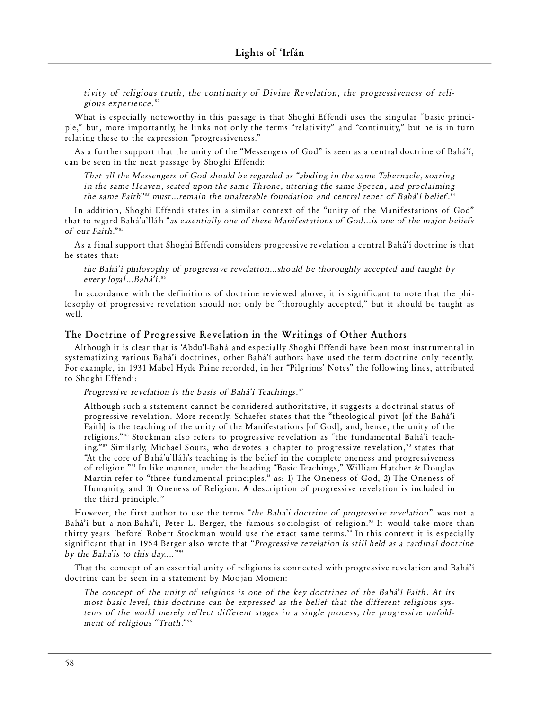tivity of religious truth, the continuity of Divine Revelation, the progressiveness of reli*gi ous exp e r i e nce*. 82

What is especially noteworthy in this passage is that Shoghi Effendi uses the singular "basic principle," but, more importantly, he links not only the terms "relativity" and "continuity," but he is in turn relating these to the expression "progressiveness."

As a further support that the unity of the "Messengers of God" is seen as a central doctrine of Bahá'í, can be seen in the next passage by Shoghi Effendi:

*That all the Messengers of God should be regarded as "abiding in the same Tabernacle, soaring in the same Heaven, seated upon the same Throne, uttering the same Speech, and proclaiming* the same Faith"<sup>83</sup> must…remain the unalterable foundation and central tenet of Bahá'í belief.<sup>84</sup>

In addition, Shoghi Effendi states in a similar context of the "unity of the Manifestations of God" that to regard Bahá'u'lláh "as essentially one of these Manifestations of God... is one of the major beliefs *of our Faith.*"<sup>85</sup>

As a final support that Shoghi Effendi considers progressive revelation a central Bahá'í doctrine is that he states that:

*the Bahá'í ph ilo s ophy of pro g re s sive re ve l ati on ... s h ould be thorou g hly acce p ted and taught by e ve ry loyal ... B ahá'í*. 86

In accordance with the definitions of doctrine reviewed above, it is significant to note that the philosophy of progressive revelation should not only be "thoroughly accepted," but it should be taught as well.

## **The Doctrine of Progressive Revelation in the Writings of Other Authors**

Although it is clear that is 'Abdu'l-Bahá and especially Shoghi Effendi have been most instrumental in systematizing various Bahá'í doctrines, other Bahá'í authors have used the term doctrine only recently. For example, in 1931 Mabel Hyde Paine recorded, in her "Pilgrims' Notes" the following lines, attributed to Shoghi Effendi:

Progressive revelation is the basis of Bahá'í Teachings.<sup>87</sup>

Although such a statement cannot be considered authoritative, it suggests a doctrinal status of progressive revelation. More recently, Schaefer states that the "theological pivot [of the Bahá'í Faith] is the teaching of the unity of the Manifestations [of God], and, hence, the unity of the religions."<sup>88</sup> Stockman also refers to progressive revelation as "the fundamental Bahá'í teaching."<sup>89</sup> Similarly, Michael Sours, who devotes a chapter to progressive revelation,<sup>90</sup> states that "At the core of Bahá'u'lláh's teaching is the belief in the complete oneness and progressiveness of religion."<sup>91</sup> In like manner, under the heading "Basic Teachings," William Hatcher & Douglas Martin refer to "three fundamental principles," as: 1) The Oneness of God, 2) The Oneness of Humanity, and 3) Oneness of Religion. A description of progressive revelation is included in the third principle.<sup>92</sup>

However, the first author to use the terms "*the Baha'i doctrine of progressive revelation*" was not a Bahá'í but a non-Bahá'í, Peter L. Berger, the famous sociologist of religion.<sup>93</sup> It would take more than thirty years [before] Robert Stockman would use the exact same terms.'<sup>4</sup> In this context it is especially significant that in 1954 Berger also wrote that "Progressive revelation is still held as a cardinal doctrine by the Baha'is to this day....<sup>"</sup>"

That the concept of an essential unity of religions is connected with progressive revelation and Bahá'í doctrine can be seen in a statement by Moojan Momen:

The concept of the unity of religions is one of the key doctrines of the Bahá'í Faith. At its most basic level, this doctrine can be expressed as the belief that the different religious systems of the world merely reflect different stages in a single process, the progressive unfoldment of religious "Truth."<sup>96</sup>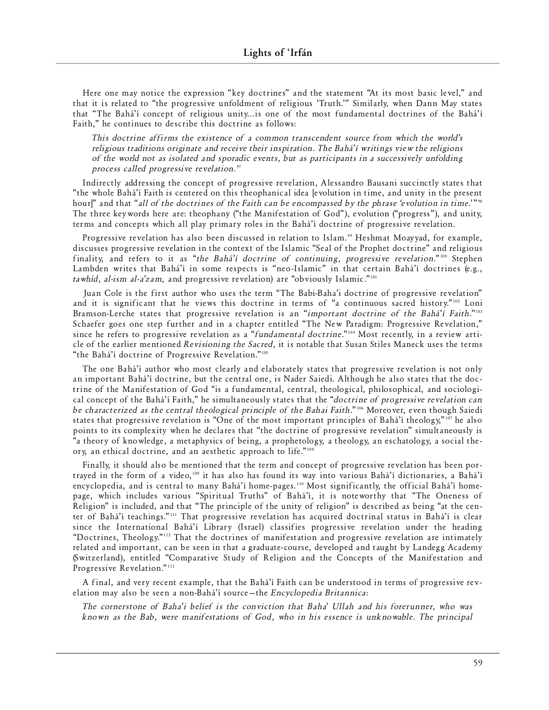Here one may notice the expression "key doctrines" and the statement "At its most basic level," and that it is related to "the progressive unfoldment of religious 'Truth." Similarly, when Dann May states that "The Bahá'í concept of religious unity... is one of the most fundamental doctrines of the Bahá'í Faith," he continues to describe this doctrine as follows:

This doctrine affirms the existence of a common transcendent source from which the world's *religious traditions originate and receive their inspiration. The Bahá'í writings view the religions of the world not as isolated and sporadic events, but as participants in a successively unfolding* process called progressive revelation.<sup>97</sup>

Indirectly addressing the concept of progressive revelation, Alessandro Bausani succinctly states that "the whole Bahá'í Faith is centered on this theophanical idea [evolution in time, and unity in the present hour]" and that "*all of the doctrines of the Faith can be encompassed by the phrase 'evolution in time.'"* " The three keywords here are: theophany ("the Manifestation of God"), evolution ("progress"), and unity, terms and concepts which all play primary roles in the Bahá'í doctrine of progressive revelation.

Progressive revelation has also been discussed in relation to Islam." Heshmat Moayyad, for example, discusses progressive revelation in the context of the Islamic "Seal of the Prophet doctrine" and religious finality, and refers to it as "*the Bahá'í doctrine of continuing, progressive revelation.*"<sup>100</sup> Stephen Lambden writes that Bahá'í in some respects is "neo-Islamic" in that certain Bahá'í doctrines (e.g., tawhíd, al-ism al-a'zam, and progressive revelation) are "obviously Islamic."<sup>101</sup>

Juan Cole is the first author who uses the term "The Babi-Baha'i doctrine of progressive revelation" and it is significant that he views this doctrine in terms of "a continuous sacred history."<sup>102</sup> Loni Bramson-Lerche states that progressive revelation is an "*important doctrine of the Bahá'í Faith*."<sup>103</sup> Schaefer goes one step further and in a chapter entitled "The New Paradigm: Progressive Revelation," since he refers to progressive revelation as a "*fund amental doctrine*."<sup>104</sup> Most recently, in a review article of the earlier mentioned *Revisioning the Sacred*, it is notable that Susan Stiles Maneck uses the terms "the Bahá'í doctrine of Progressive Revelation."<sup>105</sup>

The one Bahá'í author who most clearly and elaborately states that progressive revelation is not only an important Bahá'í doctrine, but the central one, is Nader Saiedi. Although he also states that the doctrine of the Manifestation of God "is a fundamental, central, theological, philosophical, and sociological concept of the Bahá'í Faith," he simultaneously states that the "*doctrine of progressive revelation can* be characterized as the central theological principle of the Bahai Faith."<sup>106</sup> Moreover, even though Saiedi states that progressive revelation is "One of the most important principles of Bahá'í theology,"<sup>107</sup> he also points to its complexity when he declares that "the doctrine of progressive revelation" simultaneously is "a theory of knowledge, a metaphysics of being, a prophetology, a theology, an eschatology, a social theory, an ethical doctrine, and an aesthetic approach to life."<sup>108</sup>

Finally, it should also be mentioned that the term and concept of progressive revelation has been portrayed in the form of a video,<sup>109</sup> it has also has found its way into various Bahá'í dictionaries, a Bahá'í encyclopedia, and is central to many Bahá'í home-pages.<sup>110</sup> Most significantly, the official Bahá'í homepage, which includes various "Spiritual Truths" of Bahá'í, it is noteworthy that "The Oneness of Religion" is included, and that "The principle of the unity of religion" is described as being "at the center of Bahá'í teachings."<sup>111</sup> That progressive revelation has acquired doctrinal status in Bahá'í is clear since the International Bahá'í Library (Israel) classifies progressive revelation under the heading "Doctrines, Theology."<sup>112</sup> That the doctrines of manifestation and progressive revelation are intimately related and important, can be seen in that a graduate-course, developed and taught by Landegg Academy (Switzerland), entitled "Comparative Study of Religion and the Concepts of the Manifestation and Progressive Revelation."<sup>113</sup>

A final, and very recent example, that the Bahá'í Faith can be understood in terms of progressive reve lation may also be seen a non-Bahá'í source—the *Encyclopedia Britannica*:

*The cornerstone of Baha'i belief is the conviction that Baha' Ullah and his forerunner, who was* known as the Bab, were manifestations of God, who in his essence is unknowable. The principal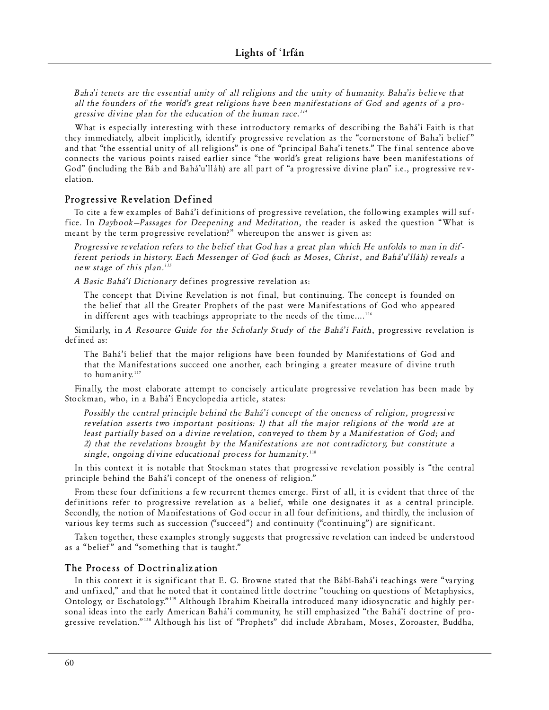*Baha'i tenets are the essential unity of all religions and the unity of humanity. Baha'is believe that* all the founders of the world's great religions have been manifestations of God and agents of a progressive divine plan for the education of the human race.<sup>114</sup>

What is especially interesting with these introductory remarks of describing the Bahá'í Faith is that they immediately, albeit implicitly, identify progressive revelation as the "cornerstone of Baha'i belief" and that "the essential unity of all religions" is one of "principal Baha'i tenets." The final sentence above connects the various points raised earlier since "the world's great religions have been manifestations of God" (including the Báb and Bahá'u'lláh) are all part of "a progressive divine plan" i.e., progressive revelation.

## **Progressive Revelation Defined**

To cite a few examples of Bahá'í definitions of progressive revelation, the following examples will suffice. In *Daybook–Passages for Deepening and Meditation*, the reader is asked the question "What is meant by the term progressive revelation?" whereupon the answer is given as:

*Progressive revelation refers to the belief that God has a great plan which He unfolds to man in different periods in history. Each Messenger of God (such as Moses, Christ, and Bahá'u'lláh) reveals a new stage of this plan.*<sup>115</sup>

*A Basic Bahá'í Dictionary* defines progressive revelation as:

The concept that Divine Revelation is not final, but continuing. The concept is founded on the belief that all the Greater Prophets of the past were Manifestations of God who appeared in different ages with teachings appropriate to the needs of the time.... $^{116}$ 

Similarly, in *A Resource Guide for the Scholarly Study of the Bahá'í Faith*, progressive revelation is defined as:

The Bahá'í belief that the major religions have been founded by Manifestations of God and that the Manifestations succeed one another, each bringing a greater measure of divine truth to humanity.<sup>117</sup>

Finally, the most elaborate attempt to concisely articulate progressive revelation has been made by Stockman, who, in a Bahá'í Encyclopedia article, states:

*Possibly the central principle behind the Bahá'í concept of the oneness of religion, progressive revelation asserts two important positions: 1) that all the major religions of the world are at l east par ti ally based on a div ine re ve l ati on, con ve yed to them by a Man i fe s tati on of God; and 2) that the re ve l ati ons brought by the Man i fe s tati ons are not con t rad i c tory, but con s ti t ute a* single, ongoing divine educational process for humanity.<sup>118</sup>

In this context it is notable that Stockman states that progressive revelation possibly is "the central principle behind the Bahá'í concept of the oneness of religion."

From these four definitions a few recurrent themes emerge. First of all, it is evident that three of the definitions refer to progressive revelation as a belief, while one designates it as a central principle. Secondly, the notion of Manifestations of God occur in all four definitions, and thirdly, the inclusion of various key terms such as succession ("succeed") and continuity ("continuing") are significant.

Taken together, these examples strongly suggests that progressive revelation can indeed be understood as a "belief" and "something that is taught."

## **The Pro cess of Doctrin al iz ati on**

In this context it is significant that E. G. Browne stated that the Bábí-Bahá'í teachings were "varying and unfixed," and that he noted that it contained little doctrine "touching on questions of Metaphysics, Ontology, or Eschatology."<sup>119</sup> Although Ibrahim Kheiralla introduced many idiosyncratic and highly personal ideas into the early American Bahá'í community, he still emphasized "the Bahá'í doctrine of progressive revelation."<sup>120</sup> Although his list of "Prophets" did include Abraham, Moses, Zoroaster, Buddha,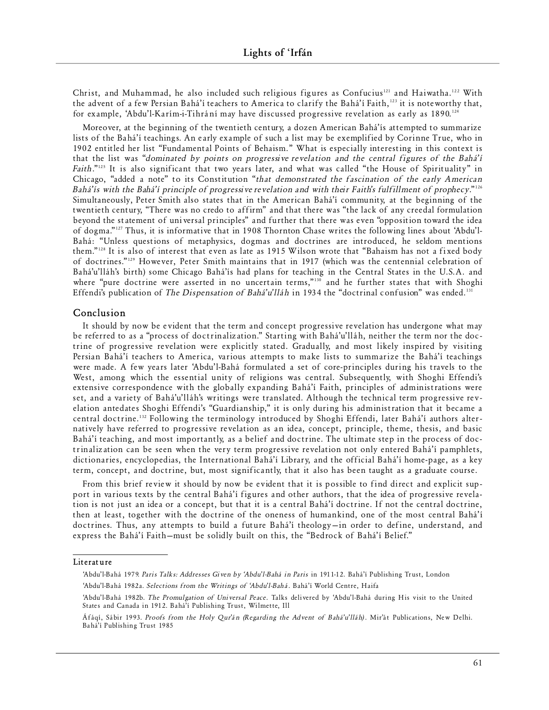Christ, and Muhammad, he also included such religious figures as Confucius<sup>121</sup> and Haiwatha.<sup>122</sup> With the advent of a few Persian Bahá'í teachers to America to clarify the Bahá'í Faith,"<sup>23</sup> it is noteworthy that, for example, 'Abdu'l-Karím-i-Tihrání may have discussed progressive revelation as early as 1890.<sup>124</sup>

Moreover, at the beginning of the twentieth century, a dozen American Bahá'ís attempted to summarize lists of the Bahá'í teachings. An early example of such a list may be exemplified by Corinne True, who in 1902 entitled her list "Fundamental Points of Behaism." What is especially interesting in this context is that the list was "*dominated by points on progressive revelation and the central figures of the Bahá'í Faith*."<sup>125</sup> It is also significant that two years later, and what was called "the House of Spirituality" in Chicago, "added a note" to its Constitution "*that demonstrated the fascination of the early American Bahá'ís with the Bahá'í principle of progressive revelation and with their Faith's fulfillment of prophecy*."<sup>126</sup> Simultaneously, Peter Smith also states that in the American Bahá'í community, at the beginning of the twentieth century, "There was no credo to affirm" and that there was "the lack of any creedal formulation beyond the statement of universal principles" and further that there was even "opposition toward the idea of dogma." <sup>127</sup> Thus, it is informative that in 1908 Thornton Chase writes the following lines about 'Abdu'l-Bahá: "Unless questions of metaphysics, dogmas and doctrines are introduced, he seldom mentions them." <sup>128</sup> It is also of interest that even as late as 1915 Wilson wrote that "Bahaism has not a fixed body of doctrines."<sup>129</sup> However, Peter Smith maintains that in 1917 (which was the centennial celebration of Bahá'u'lláh's birth) some Chicago Bahá'ís had plans for teaching in the Central States in the U.S.A. and where "pure doctrine were asserted in no uncertain terms," <sup>130</sup> and he further states that with Shoghi Effendi's publication of *The Dispensation of Bahá'u'lláh* in 1934 the "doctrinal confusion" was ended.<sup>131</sup>

# **C onc lu si on**

It should by now be evident that the term and concept progressive revelation has undergone what may be referred to as a "process of doctrinalization." Starting with Bahá'u'lláh, neither the term nor the doctrine of progressive revelation were explicitly stated. Gradually, and most likely inspired by visiting Persian Bahá'í teachers to America, various attempts to make lists to summarize the Bahá'í teachings were made. A few years later 'Abdu'l-Bahá formulated a set of core-principles during his travels to the West, among which the essential unity of religions was central. Subsequently, with Shoghi Effendi's extensive correspondence with the globally expanding Bahá'í Faith, principles of administrations were set, and a variety of Bahá'u'lláh's writings were translated. Although the technical term progressive revelation antedates Shoghi Effendi's "Guardianship," it is only during his administration that it became a central doctrine.<sup>132</sup> Following the terminology introduced by Shoghi Effendi, later Bahá'í authors alternatively have referred to progressive revelation as an idea, concept, principle, theme, thesis, and basic Bahá'í teaching, and most importantly, as a belief and doctrine. The ultimate step in the process of doctrinalization can be seen when the very term progressive revelation not only entered Bahá'í pamphlets, dictionaries, encyclopedias, the International Bahá'í Library, and the official Bahá'í home-page, as a key term, concept, and doctrine, but, most significantly, that it also has been taught as a graduate course.

From this brief review it should by now be evident that it is possible to find direct and explicit support in various texts by the central Bahá'í figures and other authors, that the idea of progressive revelation is not just an idea or a concept, but that it is a central Bahá'í doctrine. If not the central doctrine, then at least, together with the doctrine of the oneness of humankind, one of the most central Bahá'í doctrines. Thus, any attempts to build a future Bahá'í theology—in order to define, understand, and express the Bahá'í Faith-must be solidly built on this, the "Bedrock of Bahá'í Belief."

#### **Li te rat ure**

<sup>&#</sup>x27;Abdu'l-Bahá 1979. Paris Talks: Addresses Given by 'Abdu'l-Bahá in Paris in 1911-12. Bahá'í Publishing Trust, London 'Abdu'l-Bahá 1982a. *Selections from the Writings of 'Abdu'l-Bahá*. Bahá'í World Centre, Haifa

<sup>&#</sup>x27;Abdu' l-Bahá 1982b. *The Promulgation of Universal Peace*. Talks delivered by 'Abdu' l-Bahá during His visit to the United States and Canada in 1912. Bahá'í Publishing Trust, Wilmette, Ill

Áfáqí, Sábir 1993. Proofs from the Holy Qur'án (Regarding the Advent of Bahá'u'lláh). Mir'át Publications, New Delhi. Bahá'í Publishing Trust 1985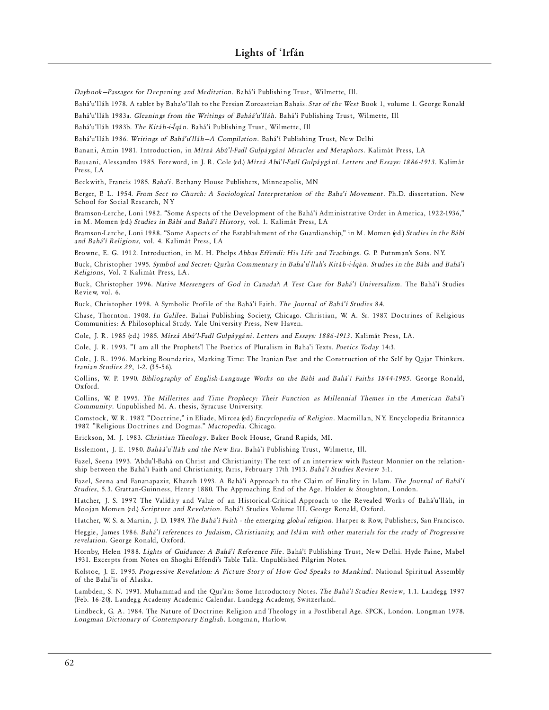Daybook-Passages for Deepening and Meditation. Bahá'í Publishing Trust, Wilmette, Ill.

Bahá'u'lláh 1978. A tablet by Baha'o'llah to the Persian Zoroastrian Bahais. *Star of the West* Book 1, volume 1. George Ronald Bahá'u'lláh 1983a. *Gleanings from the Writings of Baháá'u'lláh*. Bahá'í Publishing Trust, Wilmette, Ill

Bahá'u'lláh 1983b. The Kitáb-i-Íqán. Bahá'í Publishing Trust, Wilmette, Ill

Bahá'u'lláh 1986. Writings of Bahá'u'lláh-A Compilation. Bahá'í Publishing Trust, New Delhi

Banani, Amin 1981. Introduction, in *Mírzá Abú'l-Fadl Gulpáygání Miracles and Metaphors*. Kalimát Press, LA

Bausani, Alessandro 1985. Foreword, in J. R. Cole (ed.) Mírzá Abú'l-Fadl Gulpáygání. Letters and Essays: 1886-1913. Kalimát Press, LA

Beckwith, Francis 1985. *Baha'i*. Bethany House Publishers, Minneapolis, MN

Berger, P. L. 1954. *From Sect to Church: A Sociological Interpretation of the Baha'i Movement*. Ph.D. dissertation. New School for Social Research, NY

Bramson-Lerche, Loni 1982. "Some Aspects of the Development of the Bahá'í Administrative Order in America, 1922-1936," in M. Momen (ed.) Studies in Bábí and Bahá'í History, vol. 1. Kalimát Press, LA

Bramson-Lerche, Loni 1988. "Some Aspects of the Establishment of the Guardianship," in M. Momen (ed.) *Studies in the Bábí* and Bahá'í Religions, vol. 4. Kalimát Press, LA

Browne, E. G. 1912. Introduction, in M. H. Phelps *Abbas Effendi: His Life and Teachings*. G. P. Putnman's Sons. NY.

Buck, Christopher 1995. Symbol and Secret: Qur'an Commentary in Baha'u'llah's Kitáb-i-Íqán. Studies in the Bábí and Bahá'í *Religions*, Vol. 7. Kalimát Press, LA.

Buck, Christopher 1996. *Native Messengers of God in Canada?: A Test Case for Bahá'í Universalism*. The Bahá'í Studies Review, vol. 6.

Buck, Christopher 1998. A Symbolic Profile of the Bahá'í Faith. *The Journal of Bahá'í Studies* 8.4.

Chase, Thornton. 1908. In Galilee. Bahai Publishing Society, Chicago. Christian, W. A. Sr. 1987. Doctrines of Religious Communities: A Philosophical Study. Yale University Press, New Haven.

Cole, J. R. 1985 (ed.) 1985. *Mírzá Abú' l-Fadl Gulpáygání. Letters and Essays: 1886-1913*. Kalimát Press, LA.

Cole, J. R. 1993. "I am all the Prophets": The Poetics of Pluralism in Baha'i Texts. *Poetics Today* 14:3.

Cole, J. R. 1996. Marking Boundaries, Marking Time: The Iranian Past and the Construction of the Self by Qajar Thinkers. *Iranian Studies 29*, 1-2. (35-56).

Collins, W. P. 1990. *Bibliography of English-Language Works on the Bábí and Bahá'í Faiths 1844-1985*. George Ronald, Oxford.

Collins, W. P. 1995. The Millerites and Time Prophecy: Their Function as Millennial Themes in the American Bahá'í *Community*. Unpublished M. A. thesis, Syracuse University.

Comstock, W. R. 1987. "Doctrine," in Eliade, Mircea (ed) *Encyclopedia of Religion*. Macmillan, NY. Encyclopedia Britannica 1987. "Religious Doctrines and Dogmas." *Macropedia*. Chicago.

Erickson, M. J. 1983. *Christian Theology*. Baker Book House, Grand Rapids, MI.

Esslemont, J. E. 1980. *Baháá'u'lláh and the New Era*. Bahá'í Publishing Trust, Wilmette, Ill.

Fazel, Seena 1993. 'Abdu'l-Bahá on Christ and Christianity: The text of an interview with Pasteur Monnier on the relationship between the Bahá'í Faith and Christianity, Paris, February 17th 1913. *Bahá'í Studies Review* 3:1.

Fazel, Seena and Fananapazir, Khazeh 1993. A Bahá'í Approach to the Claim of Finality in Islam. The Journal of Bahá'í *Studies*, 5.3. Grattan-Guinness, Henry 1880. The Approaching End of the Age. Holder & Stoughton, London.

Hatcher, J. S. 1997. The Validity and Value of an Historical-Critical Approach to the Revealed Works of Bahá'u'lláh, in Moojan Momen (ed.) *Scripture and Revelation*. Bahá'í Studies Volume III. George Ronald, Oxford.

Hatcher, W. S. & Martin, J. D. 1989. *The Bahá'í Faith - the emerging global religion*. Harper & Row, Publishers, San Francisco.

Heggie, James 1986. Bahá'í references to Judaism, Christianity, and Islám with other materials for the study of Progressive *re ve l ati on*. George Ron ald, Oxford .

Hornby, Helen 1988. *Lights of Guidance: A Bahá'í Reference File*. Bahá'í Publishing Trust, New Delhi. Hyde Paine, Mabel 1931. Excerpts from Notes on Shoghi Effendi's Table Talk. Unpublished Pilgrim Notes.

Kolstoe, J. E. 1995. Progressive Revelation: A Picture Story of How God Speaks to Mankind. National Spiritual Assembly of the Bahá'ís of Alaska.

Lambden, S. N. 1991. Muhammad and the Qur'án: Some Introductory Notes. The Bahá'í Studies Review, 1.1. Landegg 1997 (Feb. 16-20). Landegg Academy Academic Calendar. Landegg Academy, Switzerland.

Lindbeck, G. A. 1984. The Nature of Doctrine: Religion and Theology in a Postliberal Age. SPCK, London. Longman 1978. Longman Dictionary of Contemporary English. Longman, Harlow.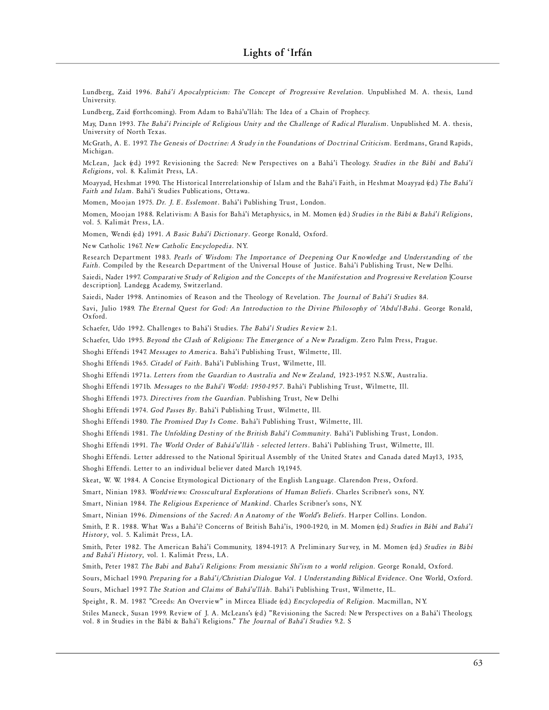Lundberg, Zaid 1996. *Bahá'í Apocalypticism: The Concept of Progressive Revelation*. Unpublished M. A. thesis, Lund University.

Lundberg, Zaid (forthcoming). From Adam to Bahá'u'lláh: The Idea of a Chain of Prophecy.

May, Dann 1993. *The Bahá'í Principle of Religious Unity and the Challenge of Radical Pluralism*. Unpublished M. A. thesis, University of North Texas.

McGrath, A. E. 1997. The Genesis of Doctrine: A Study in the Foundations of Doctrinal Criticism. Eerdmans, Grand Rapids, Michigan.

McLean, Jack (ed.) 1997. Revisioning the Sacred: New Perspectives on a Bahá'í Theology. *Studies in the Bábí and Bahá'í Re l i gi on s*, vol. 8. Kal imát Press, LA.

Moayyad, Heshmat 1990. The Historical Interrelationship of Islam and the Bahá'í Faith, in Heshmat Moayyad (ed.) The Bahá'í Faith and Islam. Bahá'í Studies Publications, Ottawa.

Momen, Moojan 1975. *Dr. J. E. Esslemont*. Bahá'í Publishing Trust, London.

Momen, Moojan 1988. Relativism: A Basis for Bahá'í Metaphysics, in M. Momen (ed.) *Studies in the Bábí & Bahá'í Religions*, vol. 5. Kalimát Press, LA.

Momen, Wendi (ed.) 1991. *A Basic Bahá'í Dictionary*. George Ronald, Oxford.

New Catholic 1967. *New Catholic Encyclopedia*. NY.

Research Department 1983. Pearls of Wisdom: The Importance of Deepening Our Knowledge and Understanding of the Faith. Compiled by the Research Department of the Universal House of Justice. Bahá'í Publishing Trust, New Delhi.

Saiedi, Nader 1997. Comparative Study of Religion and the Concepts of the Manifestation and Progressive Revelation [Course description]. Landegg Academy, Switzerland.

Saiedi, Nader 1998. Antinomies of Reason and the Theology of Revelation. The Journal of Bahá'í Studies 84.

Savi, Julio 1989. The Eternal Quest for God: An Introduction to the Divine Philosophy of 'Abdu'l-Bahá. George Ronald, Oxford.

Schaefer, Udo 1992. Challenges to Bahá'í Studies. The Bahá'í Studies Review 2:1.

Schaefer, Udo 1995. *Beyond the Clash of Religions: The Emergence of a New Paradigm*. Zero Palm Press, Prague.

Shoghi Effendi 1947. *Messages to America*. Bahá'í Publishing Trust, Wilmette, Ill.

Shoghi Effendi 1965. *Citadel of Faith*. Bahá'í Publishing Trust, Wilmette, Ill.

Shoghi Effendi 1971a. Letters from the Guardian to Australia and New Zealand, 1923-1957. N.S.W., Australia.

Shoghi Effendi 1971b. *Messages to the Bahá'í World: 1950-1957*. Bahá'í Publishing Trust, Wilmette, Ill.

Shoghi Effendi 1973. *Directives from the Guardian*. Publishing Trust, New Delhi

Shoghi Effendi 1974. God Passes By. Bahá'í Publishing Trust, Wilmette, Ill.

Shoghi Effendi 1980. *The Promised Day Is Come*. Bahá'í Publishing Trust, Wilmette, Ill.

Shoghi Effendi 1981. *The Unfolding Destiny of the British Bahá'í Community*. Bahá'í Publishing Trust, London.

Shoghi Effendi 1991. *The World Order of Baháá'u'lláh - selected letters*. Bahá'í Publishing Trust, Wilmette, Ill.

Shoghi Effendi. Letter addressed to the National Spiritual Assembly of the United States and Canada dated May13, 1935, Shoghi Effendi. Letter to an individual believer dated March 19,1945.

Skeat, W. W. 1984. A Concise Etymological Dictionary of the English Language. Clarendon Press, Oxford.

Smart, Ninian 1983. Worldviews: Crosscultural Explorations of Human Beliefs. Charles Scribner's sons, NY.

Smart, Ninian 1984. *The Religious Experience of Mankind*. Charles Scribner's sons, NY.

Smart, Ninian 1996. *Dimensions of the Sacred: An Anatomy of the World's Beliefs*. Harper Collins. London.

Smith, P. R. 1988. What Was a Bahá'í? Concerns of British Bahá'ís, 1900-1920, in M. Momen (ed.) Studies in Bábí and Bahá'í *History*, vol. 5. Kalimát Press, LA.

Smith, Peter 1982. The American Bahá'í Community, 1894-1917: A Preliminary Survey, in M. Momen (ed.) Studies in Bábí and Bahá'í History, vol. 1. Kalimát Press, LA.

Smith, Peter 1987. The Babi and Baha'i Religions: From messianic Shi'ism to a world religion. George Ronald, Oxford.

Sours, Michael 1990. Preparing for a Bahá'í/Christian Dialogue Vol. 1 Understanding Biblical Evidence. One World, Oxford.

Sours, Michael 1997. *The Station and Claims of Bahá'u'lláh*. Bahá'í Publishing Trust, Wilmette, IL.

Speight, R. M. 1987. "Creeds: An Overview" in Mircea Eliade (ed.) *Encyclopedia of Religion*. Macmillan, NY.

Stiles Maneck, Susan 1999. Review of J. A. McLeans's (ed.) "Revisioning the Sacred: New Perspectives on a Bahá'í Theology, vol. 8 in Studies in the Bábí & Bahá'í Religions." *The Journal of Bahá'í Studies* 9.2. S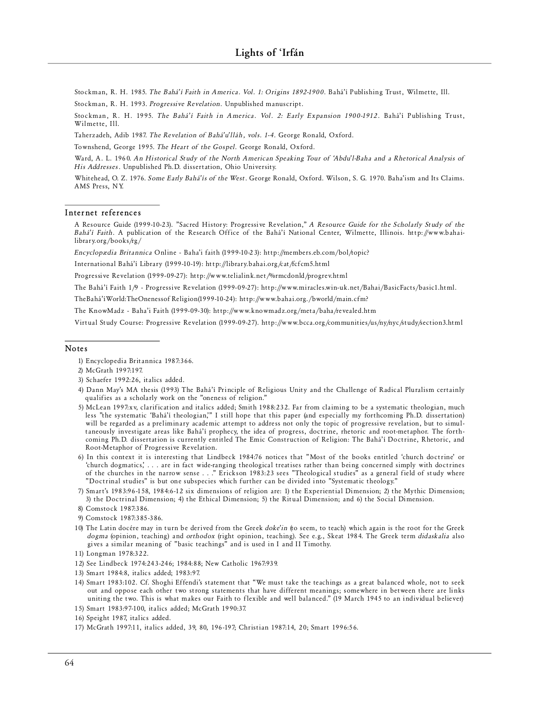Stockman, R. H. 1985. The Bahá'í Faith in America. Vol. 1: Origins 1892-1900. Bahá'í Publishing Trust, Wilmette, Ill. Stockman, R. H. 1993. *Progressive Revelation*. Unpublished manuscript.

Stockman, R. H. 1995. *The Bahá'í Faith in America. Vol. 2: Early Expansion 1900-1912*. Bahá'í Publishing Trust, Wilmette, Ill.

Taherzadeh, Adib 1987. The Revelation of Bahá'u'lláh, vols. 1-4. George Ronald, Oxford.

Townshend, George 1995. The Heart of the Gospel. George Ronald, Oxford.

Ward, A. L. 1960. An Historical Study of the North American Speaking Tour of 'Abdu'l-Baha and a Rhetorical Analysis of His Addresses. Unpublished Ph.D. dissertation, Ohio University.

Whitehead, O. Z. 1976. Some Early Bahá'ís of the West. George Ronald, Oxford. Wilson, S. G. 1970. Baha'ism and Its Claims. AMS Press, NY.

#### Internet references

A Resource Guide (1999-10-23). "Sacred History: Progressive Revelation," A Resource Guide for the Scholarly Study of the Bahá'í Faith. A publication of the Research Office of the Bahá'í National Center, Wilmette, Illinois. http://www.bahailibrary.org/books/rg/

*Encyclopædia Britannica* Online - Baha'i faith (1999-10-23): http://members.eb.com/bol/topic?

International Bahá'í Library (1999-10-19): http://library.bahai.org/cat/fcfcm5.html

Progressive Revelation (1999-09-27): http://www.telialink.net/%rmcdonld/progrev.html

The Bahá'í Faith 1/9 - Progressive Revelation (1999-09-27): http://www.miracles.win-uk.net/Bahai/BasicFacts/basic1.html.

The Bahá'í World: The Oneness of Religion (1999-10-24): http://www.bahai.org./bworld/main.cfm?

The KnowMadz - Baha'i Faith (1999-09-30): http://www.knowmadz.org/meta/baha/revealed.htm

Virtual Study Course: Progressive Revelation (1999-09-27). http://www.bcca.org/communities/us/ny/nyc/study/section3.html

#### **Note s**

- 3) Schaefer 1992:26, italics added .
- 4) Dann May's MA thesis (1993) The Bahá'í Principle of Religious Unity and the Challenge of Radical Pluralism certainly qualifies as a scholarly work on the "oneness of religion."
- 5) McLean 1997:xy, clarification and italics added; Smith 1988:232. Far from claiming to be a systematic theologian, much less "the systematic 'Bahá'í theologian," I still hope that this paper (and especially my forthcoming Ph.D. dissertation) will be regarded as a preliminary academic attempt to address not only the topic of progressive revelation, but to simultaneously investigate areas like Bahá'í prophecy, the idea of progress, doctrine, rhetoric and root-metaphor. The forthcoming Ph.D. dissertation is currently entitled The Emic Construction of Religion: The Bahá'í Doctrine, Rhetoric, and Root-Metaphor of Progressive Revelation.
- 6) In this context it is interesting that Lindbeck 1984:76 notices that "Most of the books entitled 'church doctrine' or 'church dogmatics', . . . are in fact wide-ranging theological treatises rather than being concerned simply with doctrines of the churches in the narrow sense . . ." Erickson 1983:23 sees "Theological studies" as a general field of study where " Doctrinal studies" is but one subspecies which further can be divided into "Systematic theology."
- 7) Smart's 1983:96-158, 1984:6-12 six dimensions of religion are: 1) the Experiential Dimension; 2) the Mythic Dimension; 3) the Doctrinal Dimension; 4) the Ethical Dimension; 5) the Ritual Dimension; and 6) the Social Dimension.

- 9) Comstock 1987:385-386.
- 10) The Latin docére may in turn be derived from the Greek doke'in (to seem, to teach) which again is the root for the Greek *dogma* (opinion, teaching) and *orthodox* (right opinion, teaching). See e.g., Skeat 1984. The Greek term *didaskalia* also gives a similar meaning of "basic teachings" and is used in I and II Timothy.

- 12) See Lindbeck 1974:243-246; 1984:88; New Catholic 1967:939.
- 13) Smart 1984:8, italics added; 1983:97.
- 14) Smart 1983:102. Cf. Shoghi Effendi's statement that "We must take the teachings as a great balanced whole, not to seek out and oppose each other two strong statements that have different meanings; somewhere in between there are links uniting the two. This is what makes our Faith to flexible and well balanced." (19 March 1945 to an individual believer)
- 15) Sm art 1983 :97-100, italics added; Mc Grath 1990:37.
- 16) Speight 1987, italics added.
- 17) Mc Grath 1997:11, italics added, 39, 80, 196-197; Chr is ti an 1987:14, 20; Sm art 1996 :56.

<sup>1)</sup> Encyclopedia Britannica 1987:366.

<sup>2)</sup> Mc Grath 1997:197.

<sup>8)</sup> Comstock 1987:386.

<sup>11)</sup> Longman 1978:322.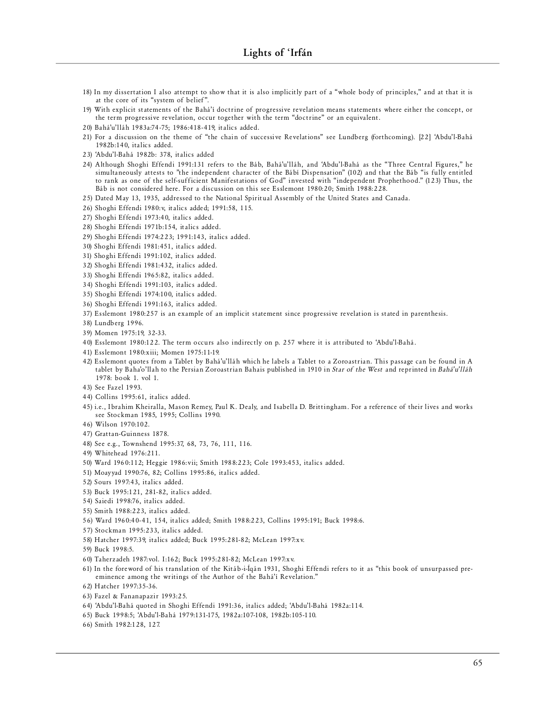- 18) In my dissertation I also attempt to show that it is also implicitly part of a "whole body of principles," and at that it is at the core of its "system of belief".
- 19) With explicit statements of the Bahá'í doctrine of progressive revelation means statements where either the concept, or the term progressive revelation, occur together with the term "doctrine" or an equivalent.
- 20) Bahá'u'lláh 1983a:74-75; 1986:418-419, italics added.
- 21) For a discussion on the theme of "the chain of successive Revelations" see Lundberg (forthcoming). [22] 'Abdu'l-Bahá 1982b :140, italics added .
- 23) 'Abdu'l-Bahá 1982b: 378, italics added
- 24) Although Shoghi Effendi 1991:131 refers to the Báb, Bahá'u'lláh, and 'Abdu'l-Bahá as the "Three Central Figures," he simultaneously attests to "the independent character of the Bábí Dispensation" (102) and that the Báb "is fully entitled to rank as one of the self-sufficient Manifestations of God" invested with "independent Prophethood." (123) Thus, the Báb is not considered here. For a discussion on this see Esslemont 1980:20; Smith 1988:228.
- 25) Dated May 13, 1935, addressed to the National Spiritual Assembly of the United States and Canada.
- 26) Shoghi Effendi 1980: v, italics added; 1991:58, 115.
- 27) Shoghi Effendi 1973:40, italics added.
- 28) Shoghi Effendi 1971b:154, italics added.
- 29) Shoghi Effendi 1974:223; 1991:143, italics added.
- 30) Shoghi Effendi 1981:451, italics added.
- 31) Shoghi Effendi 1991:102, italics added.
- 32) Shoghi Effendi 1981:432, italics added.
- 33) Shoghi Effendi 1965:82, italics added.
- 34) Shoghi Effendi 1991:103, italics added.
- 35) Shoghi Effendi 1974:100, italics added.
- 36) Shoghi Effendi 1991:163, italics added.
- 37) Esslemont 1980:257 is an example of an implicit statement since progressive revelation is stated in parenthesis.
- 38) Lundberg 1996.
- 39) Momen 1975:19, 32-33.
- 40) Esslemont 1980:122. The term occurs also indirectly on p. 257 where it is attributed to 'Abdu'l-Bahá.
- 41) Esslemont 1980: xiii; Momen 1975:11-19.
- 42) Esslemont quotes from a Tablet by Bahá'u'lláh which he labels a Tablet to a Zoroastrian. This passage can be found in A tablet by Baha'o'llah to the Persian Zoroastrian Bahais published in 1910 in *Star of the West* and reprinted in *Bahá'u'lláh* 1978:  $h \circ \circ k$  1, vol 1
- 43) See Fazel 1993.
- 44) Collins 1995:61, italics added.
- 45) i.e., Ibrahim Kheiralla, Mason Remey, Paul K. Dealy, and Isabella D. Brittingham. For a reference of their lives and works see Stockman 1985, 1995; Collins 1990.
- 46) Wilson 1970:102.
- 47) Grattan-Guinness 1878.
- 48) See e.g., Townshend 1995:37, 68, 73, 76, 111, 116.
- 49) Whitehead 1976:211.
- 50) Ward 1960:112; Heggie 1986: vii; Smith 1988:223; Cole 1993:453, italics added.
- 51) Moayyad 1990:76, 82; Collins 1995:86, italics added.
- 52) Sours 1997:43, italics added .
- 53) Buck 1995:121, 281-82, italics added.
- 54) Saiedi 1998:76, italics added.
- 55) Smith 1988:223, italics added .
- 56) Ward 1960:40-41, 154, italics added; Smith 1988:223, Collins 1995:191; Buck 1998:6.
- 57) Stockman 1995:233, italics added.
- 58) Hatcher 1997:39, italics added; Buck 1995:281-82; McLean 1997:xv.
- 59) Buck 1998:5.
- 60) Taherzadeh 1987: vol. I:162; Buck 1995:281-82; McLean 1997: x v.
- 61) In the fore word of his translation of the Kitáb-i-Íqán 1931, Shoghi Effendi refers to it as "this book of unsurpassed preeminence among the writings of the Author of the Bahá'í Revelation."
- 62) Hatcher 1997:35-36.
- 63) Fazel & Fananapazir 1993:25.
- 64) 'Abdu'l-Bahá quoted in Shoghi Effendi 1991:36, italics added; 'Abdu'l-Bahá 1982a:114.
- 65) Buck 1998:5; 'Abdu'l-Bahá 1979:131-175, 1982a:107-108, 1982b:105-110.
- 66) Smith 1982:128, 127.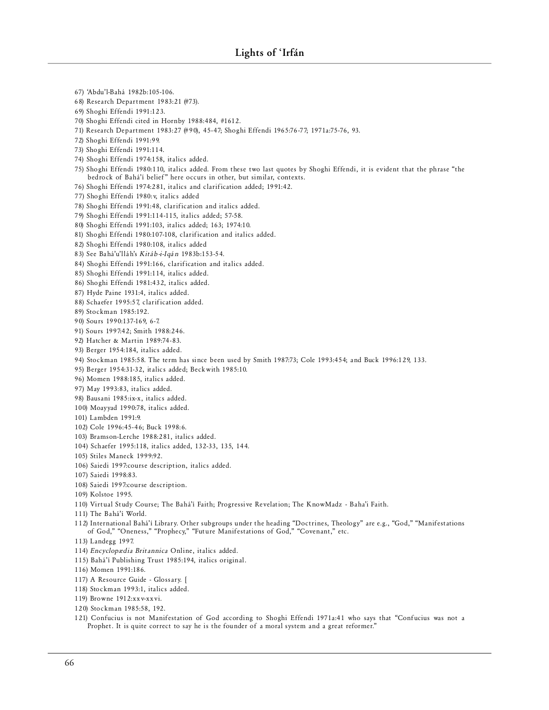67) 'Abdu'l-Bahá 1982b:105-106. 68) Research Department 1983:21 (#73). 69) Shoghi Effendi 1991:123. 70) Shoghi Effendi cited in Hornby 1988:484, #1612. 71) Research Department 1983:27 (#90), 45-47; Shoghi Effendi 1965:76-77; 1971a:75-76, 93. 72) Shoghi Effendi 1991:99. 73) Shoghi Effendi 1991:114. 74) Shoghi Effendi 1974:158, italics added. 75) Shoghi Effendi 1980:110, italics added. From these two last quotes by Shoghi Effendi, it is evident that the phrase "the bedrock of Bahá'í belief" here occurs in other, but similar, contexts. 76) Shoghi Effendi 1974:281, italics and clarification added; 1991:42. 77) Shoghi Effendi 1980: v, italics added 78) Shoghi Effendi 1991:48, clarification and italics added. 79) Shoghi Effe ndi 1991:114-115, italics added; 57-58. 80) Shoghi Effendi 1991:103, italics added; 163; 1974:10. 81) Shoghi Effendi 1980:107-108, clarification and italics added. 82) Shoghi Effendi 1980:108, italics added 83) See Bahá'u' lláh's *Ki t á b -i-I qán* 1983b :153 -54. 84) Shoghi Effendi 1991:166, clarification and italics added. 85) Shoghi Effendi 1991:114, italics added. 86) Shoghi Effendi 1981:432, italics added. 87) Hyde Paine 1931:4, italics added. 88) Schaefer 1995:57, clarification added. 89) Stockman 1985:192. 90) Sours 1990:137-169, 6-7. 91) Sours 1997:42; Smith 1988:246. 92) Hatcher & Martin 1989:74-83. 93) Be rger 1954:184, italics added . 94) Stockman 1985:58. The term has since been used by Smith 1987:73; Cole 1993:454; and Buck 1996:129, 133. 95) Berger 1954:31-32, italics added; Beckwith 1985:10. 96) Momen 1988:185, italics added . 97) May 1993:83, italics added. 98) Bausani 1985:ix-x, italics added. 100) Moayyad 1990:78, italics added . 101) Lambden 1991:9. 102) Cole 1996:45-46; Buck 1998:6. 103) Bramson-Lerche 1988:281, italics added. 104) Schaefer 1995 :118, italics added, 132-33, 135, 144. 105) Stiles Maneck 1999:92. 106) Saiedi 1997:course description, italics added. 107) Saiedi 1998:83. 108) Saiedi 1997:course description. 109) Kolstoe 1995. 110) Virtual Study Course; The Bahá'í Faith; Progressive Revelation; The KnowMadz - Baha'i Faith. 111) The Bahá'í World. 112) International Bahá'í Library. Other subgroups under the heading "Doctrines, Theology" are e.g., "God," "Manifestations of God," "Oneness," "Prophecy," "Future Manifestations of God," "Covenant," etc. 113) Landegg 1997. 114) *Encyclopædia Britannica* Online, italics added. 115) Bahá'í Publishing Trust 1985:194, italics original. 116) Momen 1991:186. 117) A Resource Guide - Glossary. [ 118) Stockman 1993:1, italics added. 119) Browne 1912: x x v-x x vi.

120) Stockman 1985:58, 192.

121) Confucius is not Manifestation of God according to Shoghi Effendi 1971a:41 who says that "Confucius was not a Prophet. It is quite correct to say he is the founder of a moral system and a great reformer."